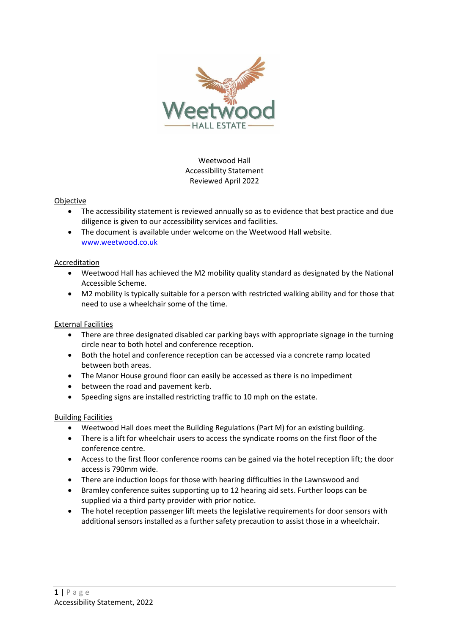

Weetwood Hall Accessibility Statement Reviewed April 2022

## Objective

- The accessibility statement is reviewed annually so as to evidence that best practice and due diligence is given to our accessibility services and facilities.
- The document is available under welcome on the Weetwood Hall website. www.weetwood.co.uk

## Accreditation

- Weetwood Hall has achieved the M2 mobility quality standard as designated by the National Accessible Scheme.
- M2 mobility is typically suitable for a person with restricted walking ability and for those that need to use a wheelchair some of the time.

## External Facilities

- There are three designated disabled car parking bays with appropriate signage in the turning circle near to both hotel and conference reception.
- Both the hotel and conference reception can be accessed via a concrete ramp located between both areas.
- The Manor House ground floor can easily be accessed as there is no impediment
- between the road and pavement kerb.
- Speeding signs are installed restricting traffic to 10 mph on the estate.

## Building Facilities

- Weetwood Hall does meet the Building Regulations (Part M) for an existing building.
- There is a lift for wheelchair users to access the syndicate rooms on the first floor of the conference centre.
- Access to the first floor conference rooms can be gained via the hotel reception lift; the door access is 790mm wide.
- There are induction loops for those with hearing difficulties in the Lawnswood and
- Bramley conference suites supporting up to 12 hearing aid sets. Further loops can be supplied via a third party provider with prior notice.
- The hotel reception passenger lift meets the legislative requirements for door sensors with additional sensors installed as a further safety precaution to assist those in a wheelchair.